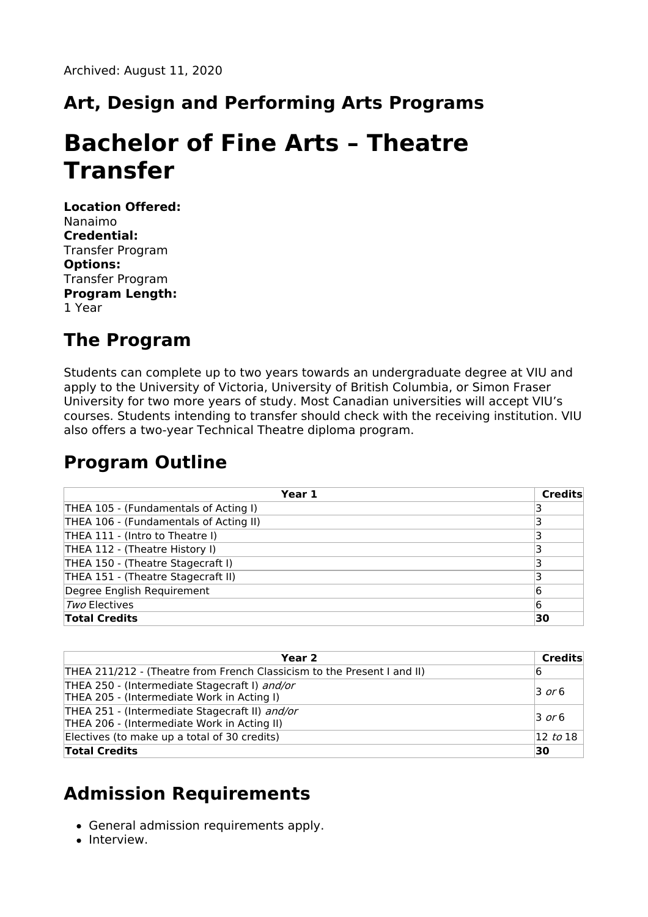## **Art, Design and Performing Arts Programs**

# **Bachelor of Fine Arts – Theatre Transfer**

**Location Offered:** Nanaimo **Credential:** Transfer Program **Options:** Transfer Program **Program Length:** 1 Year

#### **The Program**

Students can complete up to two years towards an undergraduate degree at VIU and apply to the University of Victoria, University of British Columbia, or Simon Fraser University for two more years of study. Most Canadian universities will accept VIU's courses. Students intending to transfer should check with the receiving institution. VIU also offers a two-year Technical Theatre diploma program.

#### **Program Outline**

| Year 1                                 | <b>Credits</b> |
|----------------------------------------|----------------|
| THEA 105 - (Fundamentals of Acting I)  |                |
| THEA 106 - (Fundamentals of Acting II) |                |
| THEA 111 - (Intro to Theatre I)        |                |
| THEA 112 - (Theatre History I)         |                |
| THEA 150 - (Theatre Stagecraft I)      |                |
| THEA 151 - (Theatre Stagecraft II)     |                |
| Degree English Requirement             | 6              |
| Two Electives                          | 6              |
| <b>Total Credits</b>                   | 30             |

| Year 2                                                                                        | Credits             |
|-----------------------------------------------------------------------------------------------|---------------------|
| THEA 211/212 - (Theatre from French Classicism to the Present I and II)                       | 16                  |
| THEA 250 - (Intermediate Stagecraft I) and/or<br>THEA 205 - (Intermediate Work in Acting I)   | $\overline{3}$ or 6 |
| THEA 251 - (Intermediate Stagecraft II) and/or<br>THEA 206 - (Intermediate Work in Acting II) | $\overline{3}$ or 6 |
| Electives (to make up a total of 30 credits)                                                  | $ 12 \;$ to $18$    |
| <b>Total Credits</b>                                                                          | 30                  |

#### **Admission Requirements**

- General admission requirements apply.
- Interview.